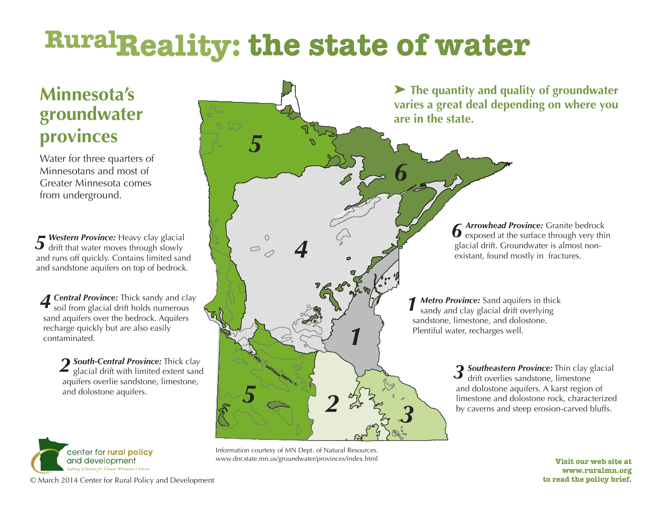## **RuralReality: the state of water**

## **Minnesota's groundwater provinces**

Water for three quarters of Minnesotans and most of Greater Minnesota comes from underground.

**F** Western Province: Heavy clay glacial **5** Western Province: Heavy clay glacial drift that water moves through slowly and runs off quickly. Contains limited sand and sandstone aquifers on top of bedrock.

*Central Province:* Thick sandy and clay soil from glacial drift holds numerous sand aquifers over the bedrock. Aquifers recharge quickly but are also easily contaminated. *4*

> 2 **South-Central Province:** Thick clay glacial drift with limited extent sand glacial drift with limited extent sand aquifers overlie sandstone, limestone, and dolostone aquifers.





Information courtesy of MN Dept. of Natural Resources. www.dnr.state.mn.us/groundwater/provinces/index.html

**Visit our web site at www.ruralmn.org to read the policy brief.**

© March 2014 Center for Rural Policy and Development